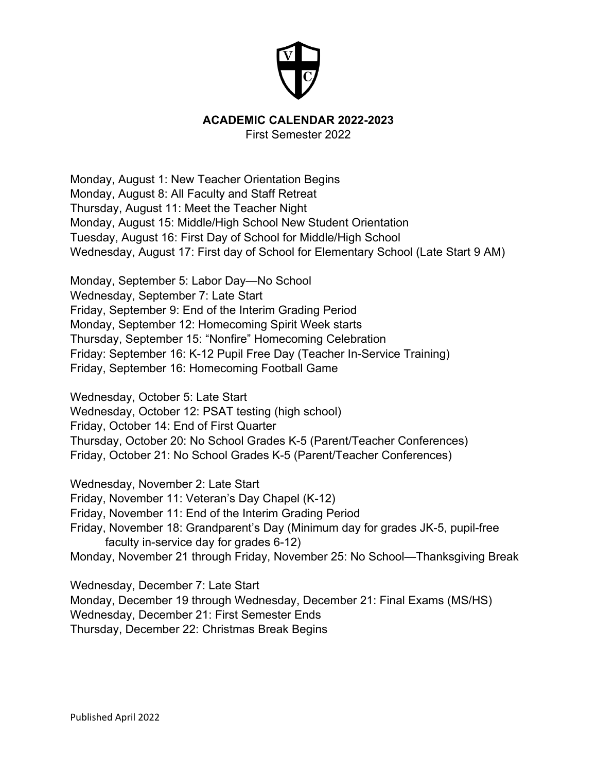

## **ACADEMIC CALENDAR 2022-2023**

First Semester 2022

Monday, August 1: New Teacher Orientation Begins Monday, August 8: All Faculty and Staff Retreat Thursday, August 11: Meet the Teacher Night Monday, August 15: Middle/High School New Student Orientation Tuesday, August 16: First Day of School for Middle/High School Wednesday, August 17: First day of School for Elementary School (Late Start 9 AM)

Monday, September 5: Labor Day—No School Wednesday, September 7: Late Start Friday, September 9: End of the Interim Grading Period Monday, September 12: Homecoming Spirit Week starts Thursday, September 15: "Nonfire" Homecoming Celebration Friday: September 16: K-12 Pupil Free Day (Teacher In-Service Training) Friday, September 16: Homecoming Football Game

Wednesday, October 5: Late Start

Wednesday, October 12: PSAT testing (high school) Friday, October 14: End of First Quarter Thursday, October 20: No School Grades K-5 (Parent/Teacher Conferences) Friday, October 21: No School Grades K-5 (Parent/Teacher Conferences)

Wednesday, November 2: Late Start Friday, November 11: Veteran's Day Chapel (K-12) Friday, November 11: End of the Interim Grading Period Friday, November 18: Grandparent's Day (Minimum day for grades JK-5, pupil-free faculty in-service day for grades 6-12) Monday, November 21 through Friday, November 25: No School—Thanksgiving Break

Wednesday, December 7: Late Start Monday, December 19 through Wednesday, December 21: Final Exams (MS/HS) Wednesday, December 21: First Semester Ends Thursday, December 22: Christmas Break Begins